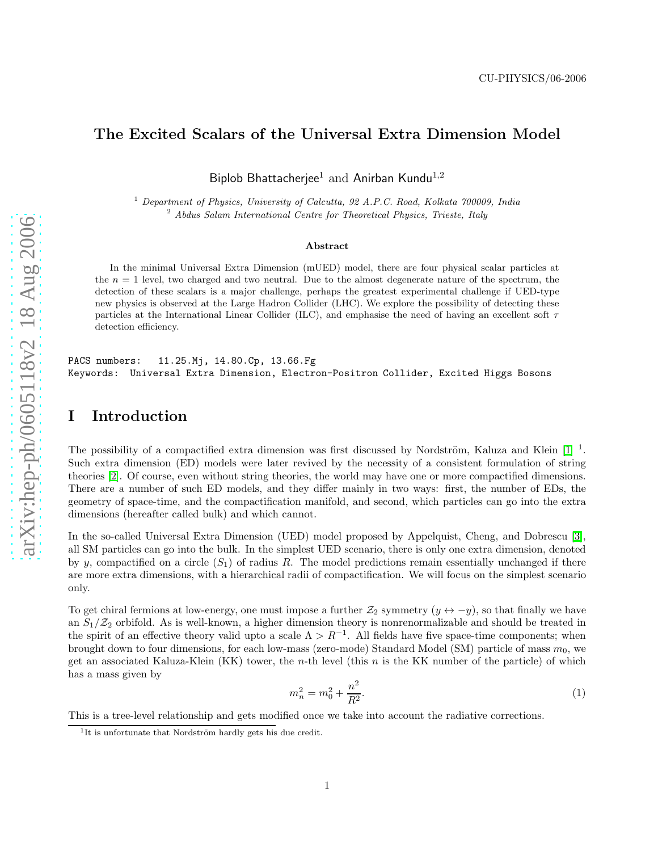## The Excited Scalars of the Universal Extra Dimension Model

Biplob Bhattacherjee<sup>1</sup> and Anirban Kundu<sup>1,2</sup>

<sup>1</sup> Department of Physics, University of Calcutta, 92 A.P.C. Road, Kolkata 700009, India <sup>2</sup> Abdus Salam International Centre for Theoretical Physics, Trieste, Italy

### Abstract

In the minimal Universal Extra Dimension (mUED) model, there are four physical scalar particles at the  $n = 1$  level, two charged and two neutral. Due to the almost degenerate nature of the spectrum, the detection of these scalars is a major challenge, perhaps the greatest experimental challenge if UED-type new physics is observed at the Large Hadron Collider (LHC). We explore the possibility of detecting these particles at the International Linear Collider (ILC), and emphasise the need of having an excellent soft  $\tau$ detection efficiency.

PACS numbers: 11.25.Mj, 14.80.Cp, 13.66.Fg Keywords: Universal Extra Dimension, Electron-Positron Collider, Excited Higgs Bosons

## I Introduction

The possibility of a compactified extra dimension was first discussed by Nordström, Kaluza and Klein  $[1]$ <sup>1</sup>. Such extra dimension (ED) models were later revived by the necessity of a consistent formulation of string theories [\[2\]](#page-10-1). Of course, even without string theories, the world may have one or more compactified dimensions. There are a number of such ED models, and they differ mainly in two ways: first, the number of EDs, the geometry of space-time, and the compactification manifold, and second, which particles can go into the extra dimensions (hereafter called bulk) and which cannot.

In the so-called Universal Extra Dimension (UED) model proposed by Appelquist, Cheng, and Dobrescu [\[3\]](#page-10-2), all SM particles can go into the bulk. In the simplest UED scenario, there is only one extra dimension, denoted by y, compactified on a circle  $(S_1)$  of radius R. The model predictions remain essentially unchanged if there are more extra dimensions, with a hierarchical radii of compactification. We will focus on the simplest scenario only.

To get chiral fermions at low-energy, one must impose a further  $\mathcal{Z}_2$  symmetry  $(y \leftrightarrow -y)$ , so that finally we have an  $S_1/Z_2$  orbifold. As is well-known, a higher dimension theory is nonrenormalizable and should be treated in the spirit of an effective theory valid upto a scale  $\Lambda > R^{-1}$ . All fields have five space-time components; when brought down to four dimensions, for each low-mass (zero-mode) Standard Model (SM) particle of mass  $m_0$ , we get an associated Kaluza-Klein (KK) tower, the *n*-th level (this *n* is the KK number of the particle) of which has a mass given by

<span id="page-0-0"></span>
$$
m_n^2 = m_0^2 + \frac{n^2}{R^2}.\tag{1}
$$

This is a tree-level relationship and gets modified once we take into account the radiative corrections.

<sup>&</sup>lt;sup>1</sup>It is unfortunate that Nordström hardly gets his due credit.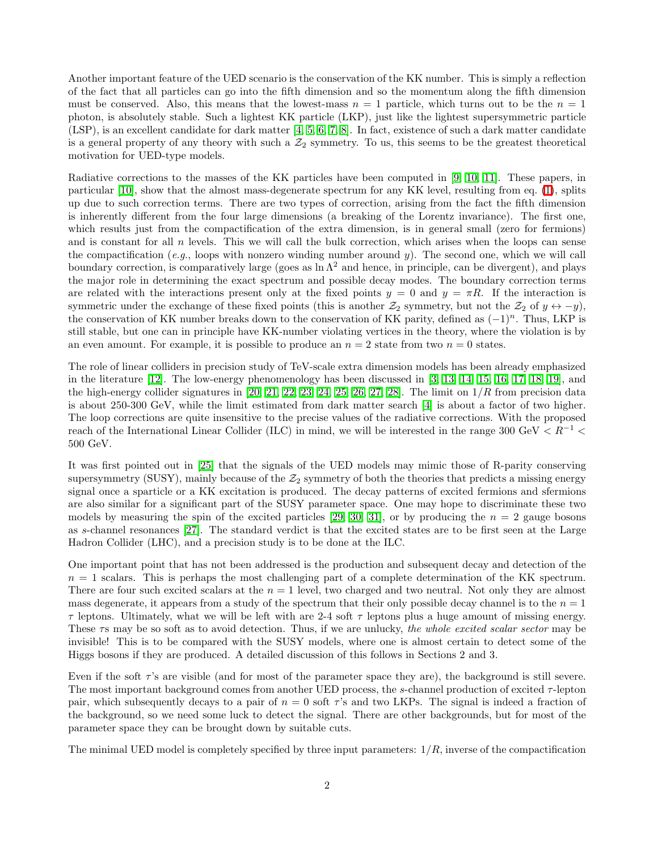Another important feature of the UED scenario is the conservation of the KK number. This is simply a reflection of the fact that all particles can go into the fifth dimension and so the momentum along the fifth dimension must be conserved. Also, this means that the lowest-mass  $n = 1$  particle, which turns out to be the  $n = 1$ photon, is absolutely stable. Such a lightest KK particle (LKP), just like the lightest supersymmetric particle (LSP), is an excellent candidate for dark matter [\[4,](#page-10-3) [5,](#page-10-4) [6,](#page-10-5) [7,](#page-10-6) [8\]](#page-10-7). In fact, existence of such a dark matter candidate is a general property of any theory with such a  $\mathcal{Z}_2$  symmetry. To us, this seems to be the greatest theoretical motivation for UED-type models.

Radiative corrections to the masses of the KK particles have been computed in [\[9,](#page-11-0) [10,](#page-11-1) [11\]](#page-11-2). These papers, in particular [\[10\]](#page-11-1), show that the almost mass-degenerate spectrum for any KK level, resulting from eq. [\(1\)](#page-0-0), splits up due to such correction terms. There are two types of correction, arising from the fact the fifth dimension is inherently different from the four large dimensions (a breaking of the Lorentz invariance). The first one, which results just from the compactification of the extra dimension, is in general small (zero for fermions) and is constant for all  $n$  levels. This we will call the bulk correction, which arises when the loops can sense the compactification (e.g., loops with nonzero winding number around  $y$ ). The second one, which we will call boundary correction, is comparatively large (goes as  $\ln \Lambda^2$  and hence, in principle, can be divergent), and plays the major role in determining the exact spectrum and possible decay modes. The boundary correction terms are related with the interactions present only at the fixed points  $y = 0$  and  $y = \pi R$ . If the interaction is symmetric under the exchange of these fixed points (this is another  $\mathcal{Z}_2$  symmetry, but not the  $\mathcal{Z}_2$  of  $y \leftrightarrow -y$ ), the conservation of KK number breaks down to the conservation of KK parity, defined as  $(-1)^n$ . Thus, LKP is still stable, but one can in principle have KK-number violating vertices in the theory, where the violation is by an even amount. For example, it is possible to produce an  $n = 2$  state from two  $n = 0$  states.

The role of linear colliders in precision study of TeV-scale extra dimension models has been already emphasized in the literature [\[12\]](#page-11-3). The low-energy phenomenology has been discussed in [\[3,](#page-10-2) [13,](#page-11-4) [14,](#page-11-5) [15,](#page-11-6) [16,](#page-11-7) [17,](#page-11-8) [18,](#page-11-9) [19\]](#page-11-10), and the high-energy collider signatures in [\[20,](#page-11-11) [21,](#page-11-12) [22,](#page-11-13) [23,](#page-11-14) [24,](#page-11-15) [25,](#page-11-16) [26,](#page-11-17) [27,](#page-11-18) [28\]](#page-11-19). The limit on  $1/R$  from precision data is about 250-300 GeV, while the limit estimated from dark matter search [\[4\]](#page-10-3) is about a factor of two higher. The loop corrections are quite insensitive to the precise values of the radiative corrections. With the proposed reach of the International Linear Collider (ILC) in mind, we will be interested in the range 300 GeV  $\lt R^{-1}$ 500 GeV.

It was first pointed out in [\[25\]](#page-11-16) that the signals of the UED models may mimic those of R-parity conserving supersymmetry (SUSY), mainly because of the  $\mathcal{Z}_2$  symmetry of both the theories that predicts a missing energy signal once a sparticle or a KK excitation is produced. The decay patterns of excited fermions and sfermions are also similar for a significant part of the SUSY parameter space. One may hope to discriminate these two models by measuring the spin of the excited particles [\[29,](#page-11-20) [30,](#page-11-21) [31\]](#page-11-22), or by producing the  $n = 2$  gauge bosons as s-channel resonances [\[27\]](#page-11-18). The standard verdict is that the excited states are to be first seen at the Large Hadron Collider (LHC), and a precision study is to be done at the ILC.

One important point that has not been addressed is the production and subsequent decay and detection of the  $n = 1$  scalars. This is perhaps the most challenging part of a complete determination of the KK spectrum. There are four such excited scalars at the  $n = 1$  level, two charged and two neutral. Not only they are almost mass degenerate, it appears from a study of the spectrum that their only possible decay channel is to the  $n = 1$  $\tau$  leptons. Ultimately, what we will be left with are 2-4 soft  $\tau$  leptons plus a huge amount of missing energy. These  $\tau s$  may be so soft as to avoid detection. Thus, if we are unlucky, the whole excited scalar sector may be invisible! This is to be compared with the SUSY models, where one is almost certain to detect some of the Higgs bosons if they are produced. A detailed discussion of this follows in Sections 2 and 3.

Even if the soft  $\tau$ 's are visible (and for most of the parameter space they are), the background is still severe. The most important background comes from another UED process, the s-channel production of excited  $\tau$ -lepton pair, which subsequently decays to a pair of  $n = 0$  soft  $\tau$ 's and two LKPs. The signal is indeed a fraction of the background, so we need some luck to detect the signal. There are other backgrounds, but for most of the parameter space they can be brought down by suitable cuts.

The minimal UED model is completely specified by three input parameters:  $1/R$ , inverse of the compactification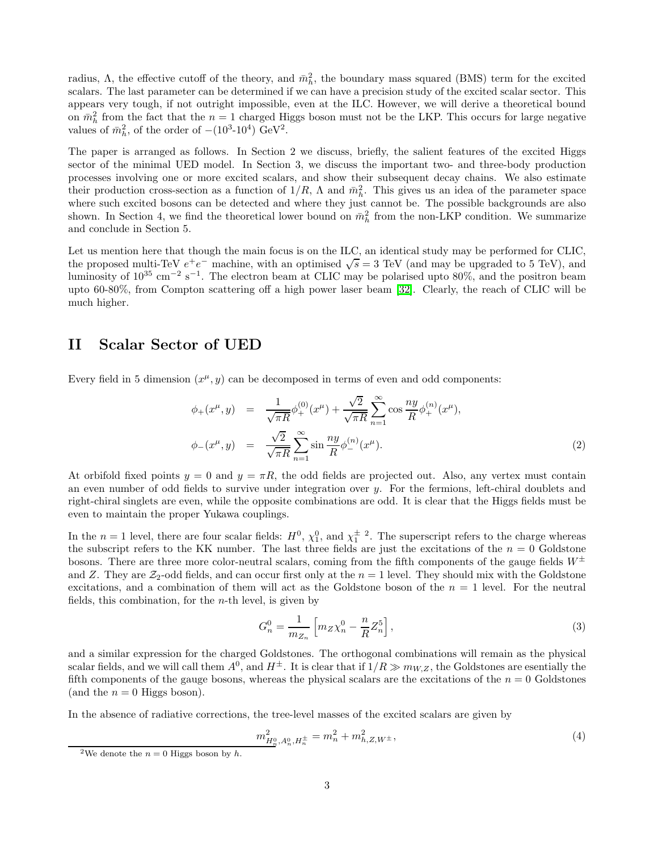radius,  $\Lambda$ , the effective cutoff of the theory, and  $\bar{m}_h^2$ , the boundary mass squared (BMS) term for the excited scalars. The last parameter can be determined if we can have a precision study of the excited scalar sector. This appears very tough, if not outright impossible, even at the ILC. However, we will derive a theoretical bound on  $\bar{m}_h^2$  from the fact that the  $n = 1$  charged Higgs boson must not be the LKP. This occurs for large negative values of  $\bar{m}_h^2$ , of the order of  $-(10^3 \text{-} 10^4) \text{ GeV}^2$ .

The paper is arranged as follows. In Section 2 we discuss, briefly, the salient features of the excited Higgs sector of the minimal UED model. In Section 3, we discuss the important two- and three-body production processes involving one or more excited scalars, and show their subsequent decay chains. We also estimate their production cross-section as a function of  $1/R$ ,  $\Lambda$  and  $\bar{m}_h^2$ . This gives us an idea of the parameter space where such excited bosons can be detected and where they just cannot be. The possible backgrounds are also shown. In Section 4, we find the theoretical lower bound on  $\bar{m}_h^2$  from the non-LKP condition. We summarize and conclude in Section 5.

Let us mention here that though the main focus is on the ILC, an identical study may be performed for CLIC, the proposed multi-TeV  $e^+e^-$  machine, with an optimised  $\sqrt{s} = 3$  TeV (and may be upgraded to 5 TeV), and luminosity of 10<sup>35</sup> cm<sup>-2</sup> s<sup>-1</sup>. The electron beam at CLIC may be polarised upto 80%, and the positron beam upto 60-80%, from Compton scattering off a high power laser beam [\[32\]](#page-11-23). Clearly, the reach of CLIC will be much higher.

## II Scalar Sector of UED

Every field in 5 dimension  $(x^{\mu}, y)$  can be decomposed in terms of even and odd components:

$$
\phi_{+}(x^{\mu}, y) = \frac{1}{\sqrt{\pi R}} \phi_{+}^{(0)}(x^{\mu}) + \frac{\sqrt{2}}{\sqrt{\pi R}} \sum_{n=1}^{\infty} \cos \frac{ny}{R} \phi_{+}^{(n)}(x^{\mu}),
$$
  

$$
\phi_{-}(x^{\mu}, y) = \frac{\sqrt{2}}{\sqrt{\pi R}} \sum_{n=1}^{\infty} \sin \frac{ny}{R} \phi_{-}^{(n)}(x^{\mu}).
$$
 (2)

At orbifold fixed points  $y = 0$  and  $y = \pi R$ , the odd fields are projected out. Also, any vertex must contain an even number of odd fields to survive under integration over y. For the fermions, left-chiral doublets and right-chiral singlets are even, while the opposite combinations are odd. It is clear that the Higgs fields must be even to maintain the proper Yukawa couplings.

In the  $n=1$  level, there are four scalar fields:  $H^0$ ,  $\chi_1^0$ , and  $\chi_1^{\pm 2}$ . The superscript refers to the charge whereas the subscript refers to the KK number. The last three fields are just the excitations of the  $n = 0$  Goldstone bosons. There are three more color-neutral scalars, coming from the fifth components of the gauge fields  $W^{\pm}$ and Z. They are  $\mathcal{Z}_2$ -odd fields, and can occur first only at the  $n = 1$  level. They should mix with the Goldstone excitations, and a combination of them will act as the Goldstone boson of the  $n = 1$  level. For the neutral fields, this combination, for the  $n$ -th level, is given by

$$
G_n^0 = \frac{1}{m_{Z_n}} \left[ m_Z \chi_n^0 - \frac{n}{R} Z_n^5 \right],
$$
\n(3)

and a similar expression for the charged Goldstones. The orthogonal combinations will remain as the physical scalar fields, and we will call them  $A^0$ , and  $H^{\pm}$ . It is clear that if  $1/R \gg m_{W,Z}$ , the Goldstones are esentially the fifth components of the gauge bosons, whereas the physical scalars are the excitations of the  $n = 0$  Goldstones (and the  $n = 0$  Higgs boson).

In the absence of radiative corrections, the tree-level masses of the excited scalars are given by

<span id="page-2-0"></span>
$$
m_{H_2^0, A_n^0, H_n^{\pm}}^2 = m_n^2 + m_{h, Z, W^{\pm}}^2,
$$
\n(4)

<sup>&</sup>lt;sup>2</sup>We denote the  $n = 0$  Higgs boson by h.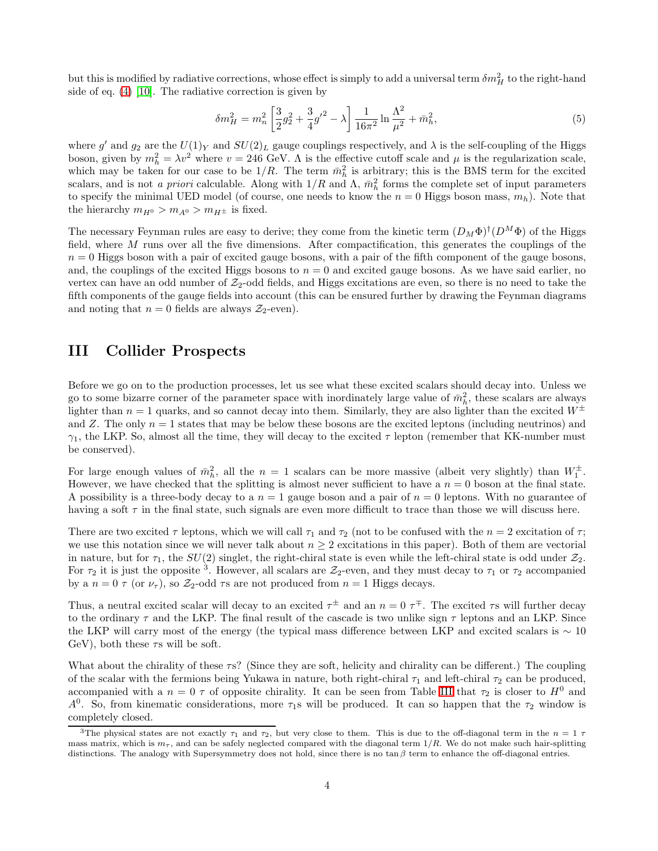<span id="page-3-1"></span>but this is modified by radiative corrections, whose effect is simply to add a universal term  $\delta m_H^2$  to the right-hand side of eq. [\(4\)](#page-2-0) [\[10\]](#page-11-1). The radiative correction is given by

$$
\delta m_H^2 = m_n^2 \left[ \frac{3}{2} g_2^2 + \frac{3}{4} g'^2 - \lambda \right] \frac{1}{16\pi^2} \ln \frac{\Lambda^2}{\mu^2} + \bar{m}_h^2,
$$
\n(5)

where g' and  $g_2$  are the  $U(1)_Y$  and  $SU(2)_L$  gauge couplings respectively, and  $\lambda$  is the self-coupling of the Higgs boson, given by  $m_h^2 = \lambda v^2$  where  $v = 246 \text{ GeV}$ . A is the effective cutoff scale and  $\mu$  is the regularization scale, which may be taken for our case to be  $1/R$ . The term  $\bar{m}_h^2$  is arbitrary; this is the BMS term for the excited scalars, and is not *a priori* calculable. Along with  $1/R$  and  $\Lambda$ ,  $\bar{m}_h^2$  forms the complete set of input parameters to specify the minimal UED model (of course, one needs to know the  $n = 0$  Higgs boson mass,  $m_h$ ). Note that the hierarchy  $m_{H^0} > m_{A^0} > m_{H^{\pm}}$  is fixed.

The necessary Feynman rules are easy to derive; they come from the kinetic term  $(D_M\Phi)^{\dagger}(D^M\Phi)$  of the Higgs field, where M runs over all the five dimensions. After compactification, this generates the couplings of the  $n = 0$  Higgs boson with a pair of excited gauge bosons, with a pair of the fifth component of the gauge bosons, and, the couplings of the excited Higgs bosons to  $n = 0$  and excited gauge bosons. As we have said earlier, no vertex can have an odd number of  $\mathcal{Z}_2$ -odd fields, and Higgs excitations are even, so there is no need to take the fifth components of the gauge fields into account (this can be ensured further by drawing the Feynman diagrams and noting that  $n = 0$  fields are always  $\mathcal{Z}_2$ -even).

# <span id="page-3-0"></span>III Collider Prospects

Before we go on to the production processes, let us see what these excited scalars should decay into. Unless we go to some bizarre corner of the parameter space with inordinately large value of  $\bar{m}_h^2$ , these scalars are always lighter than  $n = 1$  quarks, and so cannot decay into them. Similarly, they are also lighter than the excited  $W^{\pm}$ and Z. The only  $n = 1$  states that may be below these bosons are the excited leptons (including neutrinos) and  $\gamma_1$ , the LKP. So, almost all the time, they will decay to the excited  $\tau$  lepton (remember that KK-number must be conserved).

For large enough values of  $\bar{m}_h^2$ , all the  $n = 1$  scalars can be more massive (albeit very slightly) than  $W_1^{\pm}$ . However, we have checked that the splitting is almost never sufficient to have a  $n = 0$  boson at the final state. A possibility is a three-body decay to a  $n = 1$  gauge boson and a pair of  $n = 0$  leptons. With no guarantee of having a soft  $\tau$  in the final state, such signals are even more difficult to trace than those we will discuss here.

There are two excited  $\tau$  leptons, which we will call  $\tau_1$  and  $\tau_2$  (not to be confused with the  $n = 2$  excitation of  $\tau$ ; we use this notation since we will never talk about  $n \geq 2$  excitations in this paper). Both of them are vectorial in nature, but for  $\tau_1$ , the  $SU(2)$  singlet, the right-chiral state is even while the left-chiral state is odd under  $\mathcal{Z}_2$ . For  $\tau_2$  it is just the opposite <sup>3</sup>. However, all scalars are  $\mathcal{Z}_2$ -even, and they must decay to  $\tau_1$  or  $\tau_2$  accompanied by a  $n = 0 \tau$  (or  $\nu_{\tau}$ ), so  $\mathcal{Z}_2$ -odd  $\tau$ s are not produced from  $n = 1$  Higgs decays.

Thus, a neutral excited scalar will decay to an excited  $\tau^{\pm}$  and an  $n = 0$   $\tau^{\mp}$ . The excited  $\tau$ s will further decay to the ordinary  $\tau$  and the LKP. The final result of the cascade is two unlike sign  $\tau$  leptons and an LKP. Since the LKP will carry most of the energy (the typical mass difference between LKP and excited scalars is  $\sim 10$ GeV), both these  $\tau s$  will be soft.

What about the chirality of these  $\tau s$ ? (Since they are soft, helicity and chirality can be different.) The coupling of the scalar with the fermions being Yukawa in nature, both right-chiral  $\tau_1$  and left-chiral  $\tau_2$  can be produced, accompanied with a  $n = 0 \tau$  of opposite chirality. It can be seen from Table [III](#page-3-0) that  $\tau_2$  is closer to  $H^0$  and  $A^0$ . So, from kinematic considerations, more  $\tau_1$ s will be produced. It can so happen that the  $\tau_2$  window is completely closed.

<sup>&</sup>lt;sup>3</sup>The physical states are not exactly  $\tau_1$  and  $\tau_2$ , but very close to them. This is due to the off-diagonal term in the  $n = 1 \tau$ mass matrix, which is  $m<sub>\tau</sub>$ , and can be safely neglected compared with the diagonal term  $1/R$ . We do not make such hair-splitting distinctions. The analogy with Supersymmetry does not hold, since there is no tan  $\beta$  term to enhance the off-diagonal entries.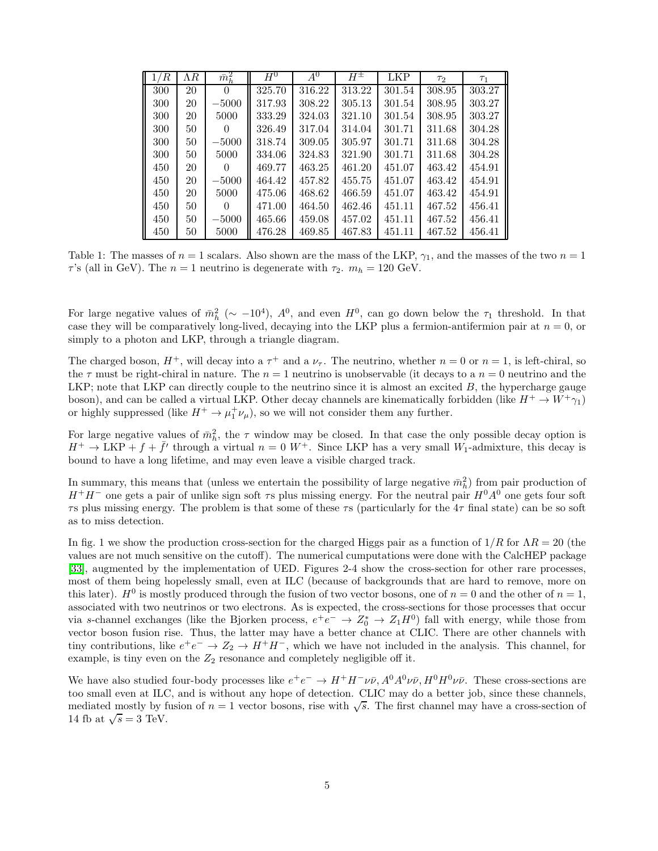| R   | $\Lambda R$ | $\bar{m}_h^2$ | $H^0$  | $A^0$  | $H^{\pm}$ | LKP    | $\tau$ <sub>2</sub> | $\tau_1$ |
|-----|-------------|---------------|--------|--------|-----------|--------|---------------------|----------|
| 300 | 20          | 0             | 325.70 | 316.22 | 313.22    | 301.54 | 308.95              | 303.27   |
| 300 | 20          | $-5000$       | 317.93 | 308.22 | 305.13    | 301.54 | 308.95              | 303.27   |
| 300 | 20          | 5000          | 333.29 | 324.03 | 321.10    | 301.54 | 308.95              | 303.27   |
| 300 | 50          |               | 326.49 | 317.04 | 314.04    | 301.71 | 311.68              | 304.28   |
| 300 | 50          | $-5000$       | 318.74 | 309.05 | 305.97    | 301.71 | 311.68              | 304.28   |
| 300 | 50          | 5000          | 334.06 | 324.83 | 321.90    | 301.71 | 311.68              | 304.28   |
| 450 | 20          |               | 469.77 | 463.25 | 461.20    | 451.07 | 463.42              | 454.91   |
| 450 | 20          | $-5000$       | 464.42 | 457.82 | 455.75    | 451.07 | 463.42              | 454.91   |
| 450 | 20          | 5000          | 475.06 | 468.62 | 466.59    | 451.07 | 463.42              | 454.91   |
| 450 | 50          |               | 471.00 | 464.50 | 462.46    | 451.11 | 467.52              | 456.41   |
| 450 | 50          | $-5000$       | 465.66 | 459.08 | 457.02    | 451.11 | 467.52              | 456.41   |
| 450 | 50          | 5000          | 476.28 | 469.85 | 467.83    | 451.11 | 467.52              | 456.41   |

Table 1: The masses of  $n = 1$  scalars. Also shown are the mass of the LKP,  $\gamma_1$ , and the masses of the two  $n = 1$  $\tau$ 's (all in GeV). The  $n = 1$  neutrino is degenerate with  $\tau_2$ .  $m_h = 120 \text{ GeV}$ .

For large negative values of  $\bar{m}_h^2$  ( $\sim -10^4$ ),  $A^0$ , and even  $H^0$ , can go down below the  $\tau_1$  threshold. In that case they will be comparatively long-lived, decaying into the LKP plus a fermion-antifermion pair at  $n = 0$ , or simply to a photon and LKP, through a triangle diagram.

The charged boson,  $H^+$ , will decay into a  $\tau^+$  and a  $\nu_{\tau}$ . The neutrino, whether  $n = 0$  or  $n = 1$ , is left-chiral, so the  $\tau$  must be right-chiral in nature. The  $n = 1$  neutrino is unobservable (it decays to a  $n = 0$  neutrino and the LKP; note that LKP can directly couple to the neutrino since it is almost an excited  $B$ , the hypercharge gauge boson), and can be called a virtual LKP. Other decay channels are kinematically forbidden (like  $H^+ \to W^+\gamma_1$ ) or highly suppressed (like  $H^+ \to \mu_1^+ \nu_\mu$ ), so we will not consider them any further.

For large negative values of  $\bar{m}_h^2$ , the  $\tau$  window may be closed. In that case the only possible decay option is  $H^+ \to \text{LKP} + f + \bar{f}'$  through a virtual  $n = 0$  W<sup>+</sup>. Since LKP has a very small W<sub>1</sub>-admixture, this decay is bound to have a long lifetime, and may even leave a visible charged track.

In summary, this means that (unless we entertain the possibility of large negative  $\bar{m}_h^2$ ) from pair production of  $H^+H^-$  one gets a pair of unlike sign soft  $\tau s$  plus missing energy. For the neutral pair  $H^0A^0$  one gets four soft τs plus missing energy. The problem is that some of these τs (particularly for the 4τ final state) can be so soft as to miss detection.

In fig. 1 we show the production cross-section for the charged Higgs pair as a function of  $1/R$  for  $\Lambda R = 20$  (the values are not much sensitive on the cutoff). The numerical cumputations were done with the CalcHEP package [\[33\]](#page-11-24), augmented by the implementation of UED. Figures 2-4 show the cross-section for other rare processes, most of them being hopelessly small, even at ILC (because of backgrounds that are hard to remove, more on this later).  $H^0$  is mostly produced through the fusion of two vector bosons, one of  $n = 0$  and the other of  $n = 1$ , associated with two neutrinos or two electrons. As is expected, the cross-sections for those processes that occur via s-channel exchanges (like the Bjorken process,  $e^+e^- \rightarrow Z_0^* \rightarrow Z_1 H^0$ ) fall with energy, while those from vector boson fusion rise. Thus, the latter may have a better chance at CLIC. There are other channels with tiny contributions, like  $e^+e^- \rightarrow Z_2 \rightarrow H^+H^-$ , which we have not included in the analysis. This channel, for example, is tiny even on the  $Z_2$  resonance and completely negligible off it.

We have also studied four-body processes like  $e^+e^- \to H^+H^-\nu\bar{\nu}, A^0A^0\nu\bar{\nu}, H^0H^0\nu\bar{\nu}$ . These cross-sections are too small even at ILC, and is without any hope of detection. CLIC may do a better job, since these channels, mediated mostly by fusion of  $n = 1$  vector bosons, rise with  $\sqrt{s}$ . The first channel may have a cross-section of 14 fb at  $\sqrt{s} = 3 \text{ TeV}$ .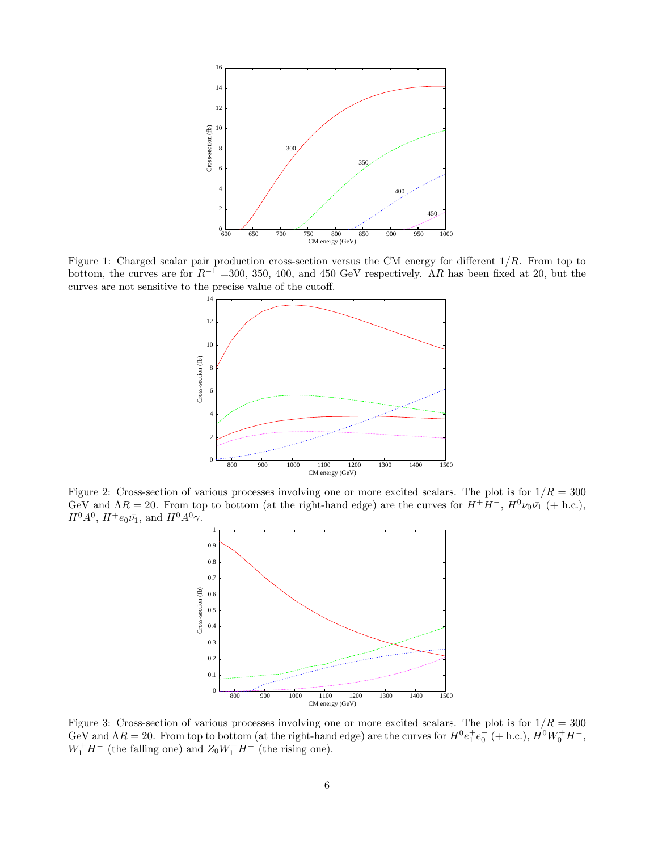

Figure 1: Charged scalar pair production cross-section versus the CM energy for different  $1/R$ . From top to bottom, the curves are for  $R^{-1}$  =300, 350, 400, and 450 GeV respectively. AR has been fixed at 20, but the curves are not sensitive to the precise value of the cutoff.



Figure 2: Cross-section of various processes involving one or more excited scalars. The plot is for  $1/R = 300$ GeV and  $\Lambda R = 20$ . From top to bottom (at the right-hand edge) are the curves for  $H^+H^-$ ,  $H^0\nu_0\bar{\nu_1}$  (+ h.c.),  $H^0A^0$ ,  $H^+e_0\bar{\nu_1}$ , and  $H^0A^0\gamma$ .



Figure 3: Cross-section of various processes involving one or more excited scalars. The plot is for  $1/R = 300$ GeV and  $\Lambda R = 20$ . From top to bottom (at the right-hand edge) are the curves for  $H^0 e_1^+ e_0^-$  (+ h.c.),  $H^0 W_0^+ H^-$ ,  $W_1^+H^-$  (the falling one) and  $Z_0W_1^+H^-$  (the rising one).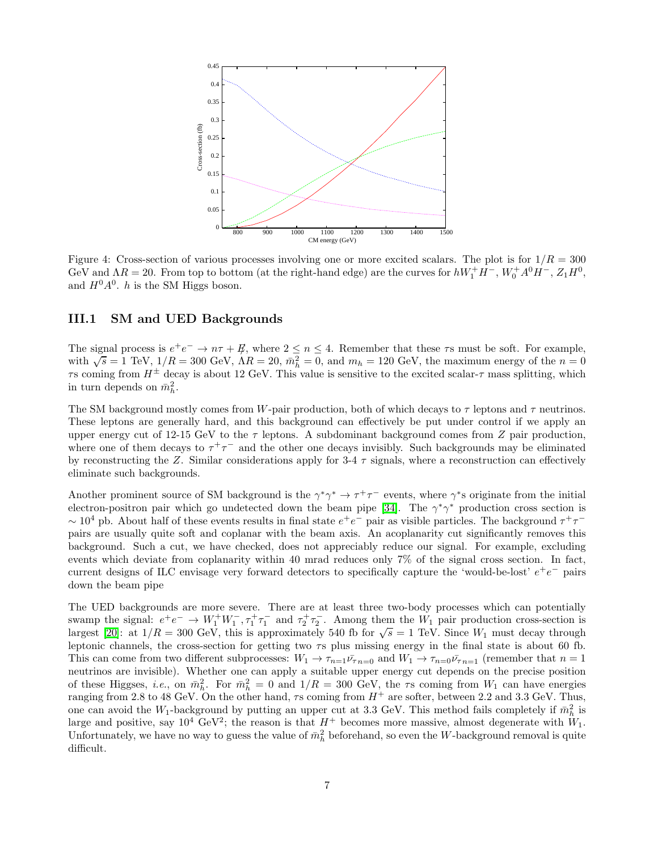

Figure 4: Cross-section of various processes involving one or more excited scalars. The plot is for  $1/R = 300$ GeV and  $\Lambda R = 20$ . From top to bottom (at the right-hand edge) are the curves for  $hW_1^+H^-$ ,  $W_0^+A^0H^-$ ,  $Z_1H^0$ , and  $H^0A^0$ . h is the SM Higgs boson.

### III.1 SM and UED Backgrounds

The signal process is  $e^+e^- \to n\tau + E$ , where  $2 \leq n \leq 4$ . Remember that these  $\tau$ s must be soft. For example, with  $\sqrt{s} = 1$  TeV,  $1/R = 300$  GeV,  $\Lambda R = 20$ ,  $\bar{m}_h^2 = 0$ , and  $m_h = 120$  GeV, the maximum energy of the  $n = 0$ τs coming from H<sup>±</sup> decay is about 12 GeV. This value is sensitive to the excited scalar-τ mass splitting, which in turn depends on  $\bar{m}_h^2$ .

The SM background mostly comes from W-pair production, both of which decays to  $\tau$  leptons and  $\tau$  neutrinos. These leptons are generally hard, and this background can effectively be put under control if we apply an upper energy cut of 12-15 GeV to the  $\tau$  leptons. A subdominant background comes from Z pair production, where one of them decays to  $\tau^+\tau^-$  and the other one decays invisibly. Such backgrounds may be eliminated by reconstructing the Z. Similar considerations apply for 3-4  $\tau$  signals, where a reconstruction can effectively eliminate such backgrounds.

Another prominent source of SM background is the  $\gamma^*\gamma^* \to \tau^+\tau^-$  events, where  $\gamma^*$ s originate from the initial electron-positron pair which go undetected down the beam pipe [\[34\]](#page-11-25). The  $\gamma^*\gamma^*$  production cross section is  $\sim 10^4$  pb. About half of these events results in final state  $e^+e^-$  pair as visible particles. The background  $\tau^+\tau^$ pairs are usually quite soft and coplanar with the beam axis. An acoplanarity cut significantly removes this background. Such a cut, we have checked, does not appreciably reduce our signal. For example, excluding events which deviate from coplanarity within 40 mrad reduces only 7% of the signal cross section. In fact, current designs of ILC envisage very forward detectors to specifically capture the 'would-be-lost'  $e^+e^-$  pairs down the beam pipe

The UED backgrounds are more severe. There are at least three two-body processes which can potentially swamp the signal:  $e^+e^- \to W_1^+W_1^-$ ,  $\tau_1^+\tau_1^-$  and  $\tau_2^+\tau_2^-$ . Among them the  $W_1$  pair production cross-section is largest [\[20\]](#page-11-11): at  $1/R = 300 \text{ GeV}$ , this is approximately 540 fb for  $\sqrt{s} = 1 \text{ TeV}$ . Since  $W_1$  must decay through leptonic channels, the cross-section for getting two  $\tau s$  plus missing energy in the final state is about 60 fb. This can come from two different subprocesses:  $W_1 \to \tau_{n=1} \bar{\nu_{\tau}}_{n=0}$  and  $W_1 \to \tau_{n=0} \bar{\nu_{\tau}}_{n=1}$  (remember that  $n=1$ neutrinos are invisible). Whether one can apply a suitable upper energy cut depends on the precise position of these Higgses, *i.e.*, on  $\bar{m}_h^2$ . For  $\bar{m}_h^2 = 0$  and  $1/R = 300$  GeV, the  $\tau$ s coming from  $W_1$  can have energies ranging from 2.8 to 48 GeV. On the other hand,  $\tau s$  coming from  $H^+$  are softer, between 2.2 and 3.3 GeV. Thus, one can avoid the  $W_1$ -background by putting an upper cut at 3.3 GeV. This method fails completely if  $\bar{m}_h^2$  is large and positive, say  $10^4 \text{ GeV}^2$ ; the reason is that  $H^+$  becomes more massive, almost degenerate with  $W_1$ . Unfortunately, we have no way to guess the value of  $\bar{m}_h^2$  beforehand, so even the W-background removal is quite difficult.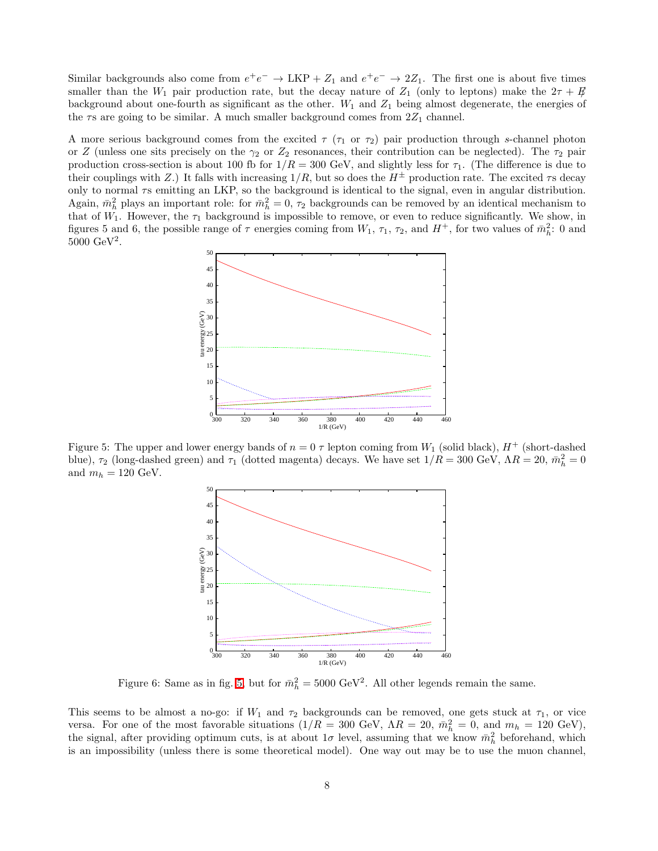Similar backgrounds also come from  $e^+e^- \to \text{LKP} + Z_1$  and  $e^+e^- \to 2Z_1$ . The first one is about five times smaller than the  $W_1$  pair production rate, but the decay nature of  $Z_1$  (only to leptons) make the  $2\tau + E/2$ background about one-fourth as significant as the other.  $W_1$  and  $Z_1$  being almost degenerate, the energies of the  $\tau s$  are going to be similar. A much smaller background comes from  $2Z_1$  channel.

A more serious background comes from the excited  $\tau$  ( $\tau_1$  or  $\tau_2$ ) pair production through s-channel photon or Z (unless one sits precisely on the  $\gamma_2$  or  $Z_2$  resonances, their contribution can be neglected). The  $\tau_2$  pair production cross-section is about 100 fb for  $1/R = 300$  GeV, and slightly less for  $\tau_1$ . (The difference is due to their couplings with Z.) It falls with increasing  $1/R$ , but so does the  $H^{\pm}$  production rate. The excited  $\tau$ s decay only to normal τs emitting an LKP, so the background is identical to the signal, even in angular distribution. Again,  $\bar{m}_h^2$  plays an important role: for  $\bar{m}_h^2 = 0$ ,  $\tau_2$  backgrounds can be removed by an identical mechanism to that of  $W_1$ . However, the  $\tau_1$  background is impossible to remove, or even to reduce significantly. We show, in figures 5 and 6, the possible range of  $\tau$  energies coming from  $W_1$ ,  $\tau_1$ ,  $\tau_2$ , and  $H^+$ , for two values of  $\bar{m}_h^2$ : 0 and  $5000 \text{ GeV}^2$ .



<span id="page-7-0"></span>Figure 5: The upper and lower energy bands of  $n = 0 \tau$  lepton coming from  $W_1$  (solid black),  $H^+$  (short-dashed blue),  $\tau_2$  (long-dashed green) and  $\tau_1$  (dotted magenta) decays. We have set  $1/R = 300$  GeV,  $\Lambda R = 20$ ,  $\bar{m}_h^2 = 0$ and  $m_h = 120$  GeV.



Figure 6: Same as in fig. [5,](#page-7-0) but for  $\bar{m}_h^2 = 5000 \text{ GeV}^2$ . All other legends remain the same.

This seems to be almost a no-go: if  $W_1$  and  $\tau_2$  backgrounds can be removed, one gets stuck at  $\tau_1$ , or vice versa. For one of the most favorable situations  $(1/R = 300 \text{ GeV}, \Lambda R = 20, \bar{m}_h^2 = 0, \text{ and } m_h = 120 \text{ GeV},$ the signal, after providing optimum cuts, is at about  $1\sigma$  level, assuming that we know  $\bar{m}_h^2$  beforehand, which is an impossibility (unless there is some theoretical model). One way out may be to use the muon channel,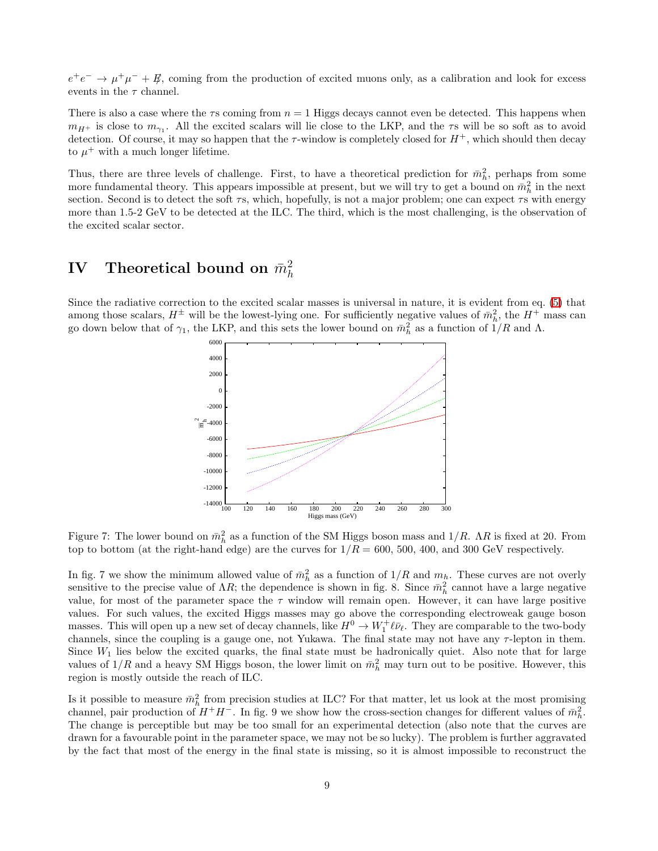$e^+e^- \rightarrow \mu^+\mu^- + E$ , coming from the production of excited muons only, as a calibration and look for excess events in the  $\tau$  channel.

There is also a case where the  $\tau s$  coming from  $n = 1$  Higgs decays cannot even be detected. This happens when  $m_{H^+}$  is close to  $m_{\gamma_1}$ . All the excited scalars will lie close to the LKP, and the  $\tau$ s will be so soft as to avoid detection. Of course, it may so happen that the  $\tau$ -window is completely closed for  $H^+$ , which should then decay to  $\mu^+$  with a much longer lifetime.

Thus, there are three levels of challenge. First, to have a theoretical prediction for  $\bar{m}_h^2$ , perhaps from some more fundamental theory. This appears impossible at present, but we will try to get a bound on  $\bar{m}_h^2$  in the next section. Second is to detect the soft  $\tau s$ , which, hopefully, is not a major problem; one can expect  $\tau s$  with energy more than 1.5-2 GeV to be detected at the ILC. The third, which is the most challenging, is the observation of the excited scalar sector.

### $\mathbf{IV}$  - Theoretical bound on  $\bar{m}_h^2$ h

Since the radiative correction to the excited scalar masses is universal in nature, it is evident from eq. [\(5\)](#page-3-1) that among those scalars,  $H^{\pm}$  will be the lowest-lying one. For sufficiently negative values of  $\bar{m}_h^2$ , the  $H^+$  mass can go down below that of  $\gamma_1$ , the LKP, and this sets the lower bound on  $\bar{m}_h^2$  as a function of  $1/R$  and  $\Lambda$ .



Figure 7: The lower bound on  $\bar{m}_h^2$  as a function of the SM Higgs boson mass and  $1/R$ . AR is fixed at 20. From top to bottom (at the right-hand edge) are the curves for  $1/R = 600, 500, 400,$  and 300 GeV respectively.

In fig. 7 we show the minimum allowed value of  $\bar{m}_h^2$  as a function of  $1/R$  and  $m_h$ . These curves are not overly sensitive to the precise value of  $\Lambda R$ ; the dependence is shown in fig. 8. Since  $\bar{m}_h^2$  cannot have a large negative value, for most of the parameter space the  $\tau$  window will remain open. However, it can have large positive values. For such values, the excited Higgs masses may go above the corresponding electroweak gauge boson masses. This will open up a new set of decay channels, like  $H^0 \to W_1^+ \ell \bar{\nu}_\ell$ . They are comparable to the two-body channels, since the coupling is a gauge one, not Yukawa. The final state may not have any τ-lepton in them. Since  $W_1$  lies below the excited quarks, the final state must be hadronically quiet. Also note that for large values of  $1/R$  and a heavy SM Higgs boson, the lower limit on  $\bar{m}_h^2$  may turn out to be positive. However, this region is mostly outside the reach of ILC.

Is it possible to measure  $\bar{m}_h^2$  from precision studies at ILC? For that matter, let us look at the most promising channel, pair production of  $H^+H^-$ . In fig. 9 we show how the cross-section changes for different values of  $\bar{m}_h^2$ . The change is perceptible but may be too small for an experimental detection (also note that the curves are drawn for a favourable point in the parameter space, we may not be so lucky). The problem is further aggravated by the fact that most of the energy in the final state is missing, so it is almost impossible to reconstruct the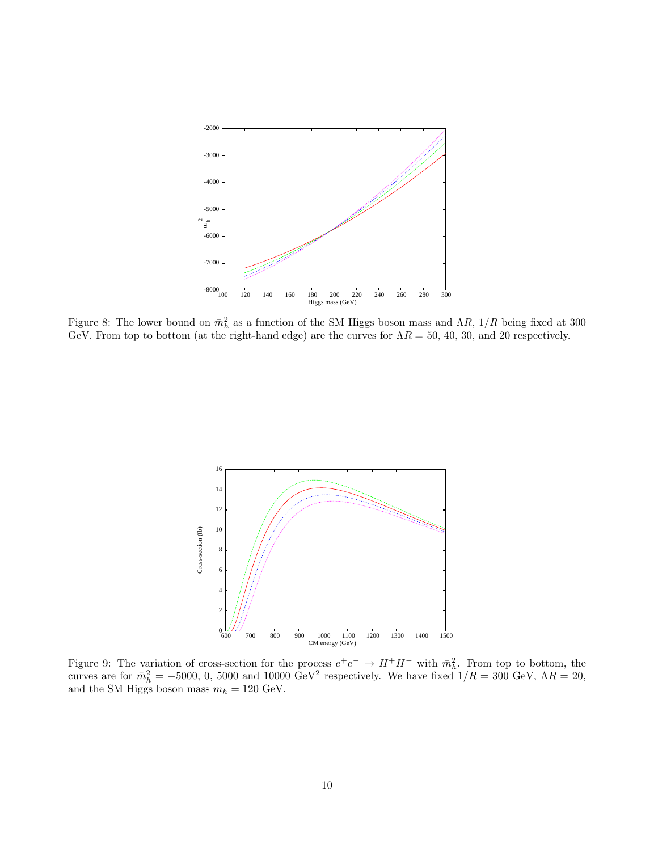

Figure 8: The lower bound on  $\bar{m}_h^2$  as a function of the SM Higgs boson mass and  $\Lambda R$ ,  $1/R$  being fixed at 300 GeV. From top to bottom (at the right-hand edge) are the curves for  $\Lambda R = 50, 40, 30,$  and 20 respectively.



Figure 9: The variation of cross-section for the process  $e^+e^- \to H^+H^-$  with  $\bar{m}_h^2$ . From top to bottom, the curves are for  $\bar{m}_h^2 = -5000$ , 0, 5000 and 10000 GeV<sup>2</sup> respectively. We have fixed  $1/R = 300$  GeV,  $\Lambda R = 20$ , and the SM Higgs boson mass  $m_h = 120 \text{ GeV}$ .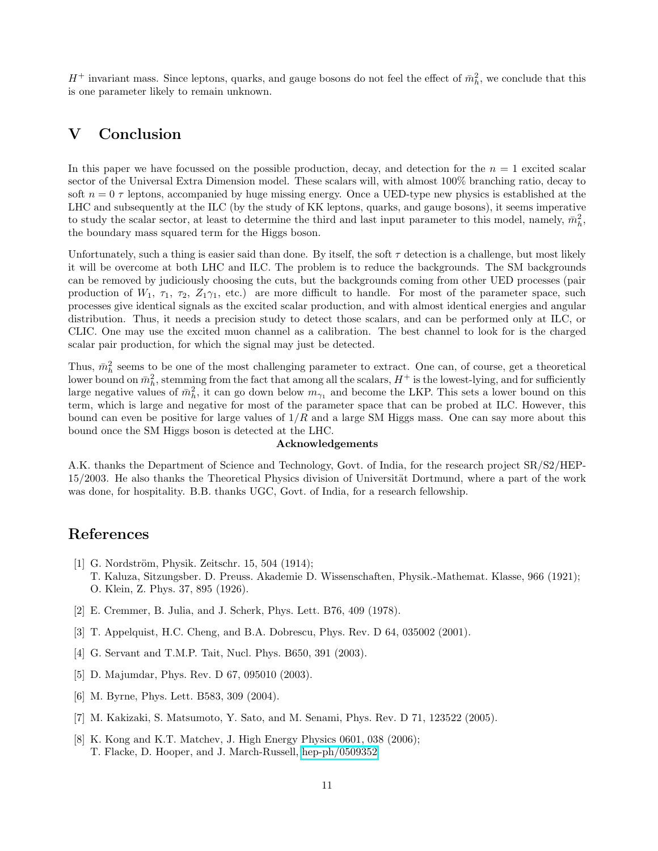$H^+$  invariant mass. Since leptons, quarks, and gauge bosons do not feel the effect of  $\bar{m}_h^2$ , we conclude that this is one parameter likely to remain unknown.

## V Conclusion

In this paper we have focussed on the possible production, decay, and detection for the  $n = 1$  excited scalar sector of the Universal Extra Dimension model. These scalars will, with almost 100% branching ratio, decay to soft  $n = 0 \tau$  leptons, accompanied by huge missing energy. Once a UED-type new physics is established at the LHC and subsequently at the ILC (by the study of KK leptons, quarks, and gauge bosons), it seems imperative to study the scalar sector, at least to determine the third and last input parameter to this model, namely,  $\bar{m}_h^2$ , the boundary mass squared term for the Higgs boson.

Unfortunately, such a thing is easier said than done. By itself, the soft  $\tau$  detection is a challenge, but most likely it will be overcome at both LHC and ILC. The problem is to reduce the backgrounds. The SM backgrounds can be removed by judiciously choosing the cuts, but the backgrounds coming from other UED processes (pair production of  $W_1$ ,  $\tau_1$ ,  $\tau_2$ ,  $Z_1\gamma_1$ , etc.) are more difficult to handle. For most of the parameter space, such processes give identical signals as the excited scalar production, and with almost identical energies and angular distribution. Thus, it needs a precision study to detect those scalars, and can be performed only at ILC, or CLIC. One may use the excited muon channel as a calibration. The best channel to look for is the charged scalar pair production, for which the signal may just be detected.

Thus,  $\bar{m}_h^2$  seems to be one of the most challenging parameter to extract. One can, of course, get a theoretical lower bound on  $\bar{m}_h^2$ , stemming from the fact that among all the scalars,  $H^+$  is the lowest-lying, and for sufficiently large negative values of  $\bar{m}_h^2$ , it can go down below  $m_{\gamma_1}$  and become the LKP. This sets a lower bound on this term, which is large and negative for most of the parameter space that can be probed at ILC. However, this bound can even be positive for large values of  $1/R$  and a large SM Higgs mass. One can say more about this bound once the SM Higgs boson is detected at the LHC.

### Acknowledgements

A.K. thanks the Department of Science and Technology, Govt. of India, for the research project SR/S2/HEP-15/2003. He also thanks the Theoretical Physics division of Universität Dortmund, where a part of the work was done, for hospitality. B.B. thanks UGC, Govt. of India, for a research fellowship.

# <span id="page-10-0"></span>References

- [1] G. Nordström, Physik. Zeitschr. 15, 504 (1914);
- T. Kaluza, Sitzungsber. D. Preuss. Akademie D. Wissenschaften, Physik.-Mathemat. Klasse, 966 (1921); O. Klein, Z. Phys. 37, 895 (1926).
- <span id="page-10-2"></span><span id="page-10-1"></span>[2] E. Cremmer, B. Julia, and J. Scherk, Phys. Lett. B76, 409 (1978).
- <span id="page-10-3"></span>[3] T. Appelquist, H.C. Cheng, and B.A. Dobrescu, Phys. Rev. D 64, 035002 (2001).
- <span id="page-10-4"></span>[4] G. Servant and T.M.P. Tait, Nucl. Phys. B650, 391 (2003).
- <span id="page-10-5"></span>[5] D. Majumdar, Phys. Rev. D 67, 095010 (2003).
- <span id="page-10-6"></span>[6] M. Byrne, Phys. Lett. B583, 309 (2004).
- <span id="page-10-7"></span>[7] M. Kakizaki, S. Matsumoto, Y. Sato, and M. Senami, Phys. Rev. D 71, 123522 (2005).
- [8] K. Kong and K.T. Matchev, J. High Energy Physics 0601, 038 (2006); T. Flacke, D. Hooper, and J. March-Russell, [hep-ph/0509352.](http://arxiv.org/abs/hep-ph/0509352)